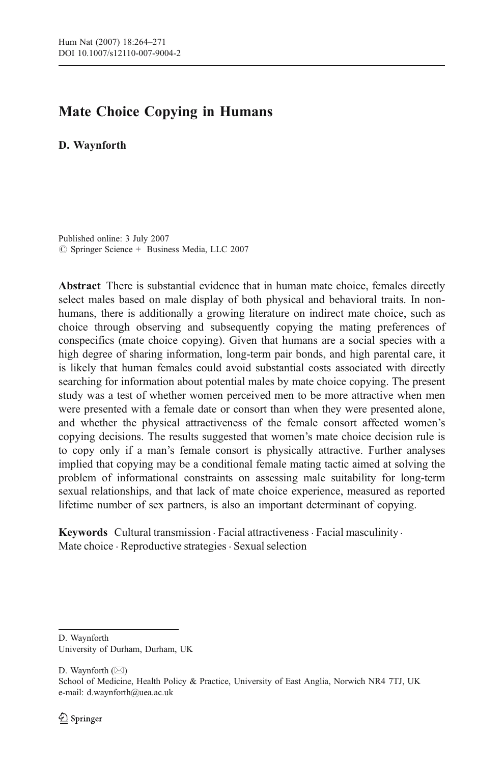# Mate Choice Copying in Humans

# D. Waynforth

Published online: 3 July 2007  $\oslash$  Springer Science + Business Media, LLC 2007

Abstract There is substantial evidence that in human mate choice, females directly select males based on male display of both physical and behavioral traits. In nonhumans, there is additionally a growing literature on indirect mate choice, such as choice through observing and subsequently copying the mating preferences of conspecifics (mate choice copying). Given that humans are a social species with a high degree of sharing information, long-term pair bonds, and high parental care, it is likely that human females could avoid substantial costs associated with directly searching for information about potential males by mate choice copying. The present study was a test of whether women perceived men to be more attractive when men were presented with a female date or consort than when they were presented alone, and whether the physical attractiveness of the female consort affected women's copying decisions. The results suggested that women's mate choice decision rule is to copy only if a man's female consort is physically attractive. Further analyses implied that copying may be a conditional female mating tactic aimed at solving the problem of informational constraints on assessing male suitability for long-term sexual relationships, and that lack of mate choice experience, measured as reported lifetime number of sex partners, is also an important determinant of copying.

Keywords Cultural transmission . Facial attractiveness . Facial masculinity . Mate choice · Reproductive strategies · Sexual selection

D. Waynforth  $(\boxtimes)$ School of Medicine, Health Policy & Practice, University of East Anglia, Norwich NR4 7TJ, UK e-mail: d.waynforth@uea.ac.uk

D. Waynforth University of Durham, Durham, UK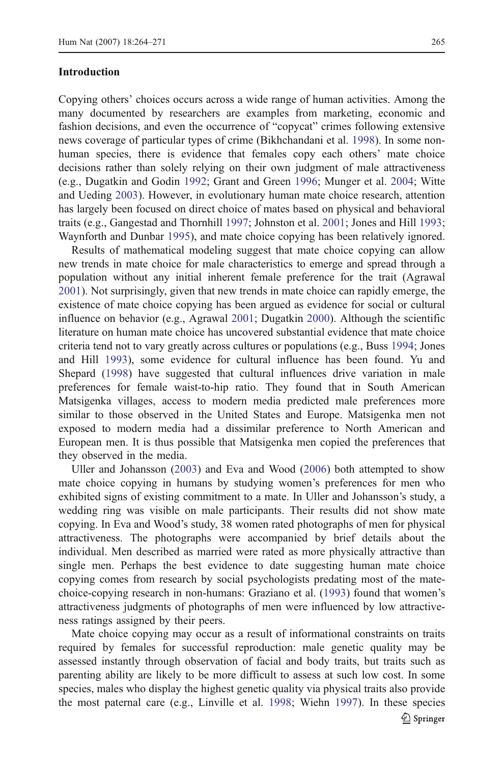## Introduction

Copying others' choices occurs across a wide range of human activities. Among the many documented by researchers are examples from marketing, economic and fashion decisions, and even the occurrence of "copycat" crimes following extensive news coverage of particular types of crime (Bikhchandani et al. [1998](#page-6-0)). In some nonhuman species, there is evidence that females copy each others' mate choice decisions rather than solely relying on their own judgment of male attractiveness (e.g., Dugatkin and Godin [1992](#page-6-0); Grant and Green [1996](#page-6-0); Munger et al. [2004;](#page-7-0) Witte and Ueding [2003\)](#page-7-0). However, in evolutionary human mate choice research, attention has largely been focused on direct choice of mates based on physical and behavioral traits (e.g., Gangestad and Thornhill [1997;](#page-6-0) Johnston et al. [2001](#page-6-0); Jones and Hill [1993;](#page-6-0) Waynforth and Dunbar [1995\)](#page-7-0), and mate choice copying has been relatively ignored.

Results of mathematical modeling suggest that mate choice copying can allow new trends in mate choice for male characteristics to emerge and spread through a population without any initial inherent female preference for the trait (Agrawal [2001\)](#page-6-0). Not surprisingly, given that new trends in mate choice can rapidly emerge, the existence of mate choice copying has been argued as evidence for social or cultural influence on behavior (e.g., Agrawal [2001;](#page-6-0) Dugatkin [2000\)](#page-6-0). Although the scientific literature on human mate choice has uncovered substantial evidence that mate choice criteria tend not to vary greatly across cultures or populations (e.g., Buss [1994](#page-6-0); Jones and Hill [1993](#page-6-0)), some evidence for cultural influence has been found. Yu and Shepard ([1998\)](#page-7-0) have suggested that cultural influences drive variation in male preferences for female waist-to-hip ratio. They found that in South American Matsigenka villages, access to modern media predicted male preferences more similar to those observed in the United States and Europe. Matsigenka men not exposed to modern media had a dissimilar preference to North American and European men. It is thus possible that Matsigenka men copied the preferences that they observed in the media.

Uller and Johansson [\(2003](#page-7-0)) and Eva and Wood ([2006\)](#page-6-0) both attempted to show mate choice copying in humans by studying women's preferences for men who exhibited signs of existing commitment to a mate. In Uller and Johansson's study, a wedding ring was visible on male participants. Their results did not show mate copying. In Eva and Wood's study, 38 women rated photographs of men for physical attractiveness. The photographs were accompanied by brief details about the individual. Men described as married were rated as more physically attractive than single men. Perhaps the best evidence to date suggesting human mate choice copying comes from research by social psychologists predating most of the matechoice-copying research in non-humans: Graziano et al. [\(1993](#page-6-0)) found that women's attractiveness judgments of photographs of men were influenced by low attractiveness ratings assigned by their peers.

Mate choice copying may occur as a result of informational constraints on traits required by females for successful reproduction: male genetic quality may be assessed instantly through observation of facial and body traits, but traits such as parenting ability are likely to be more difficult to assess at such low cost. In some species, males who display the highest genetic quality via physical traits also provide the most paternal care (e.g., Linville et al. [1998](#page-6-0); Wiehn [1997](#page-7-0)). In these species  $\mathcal{D}$  Springer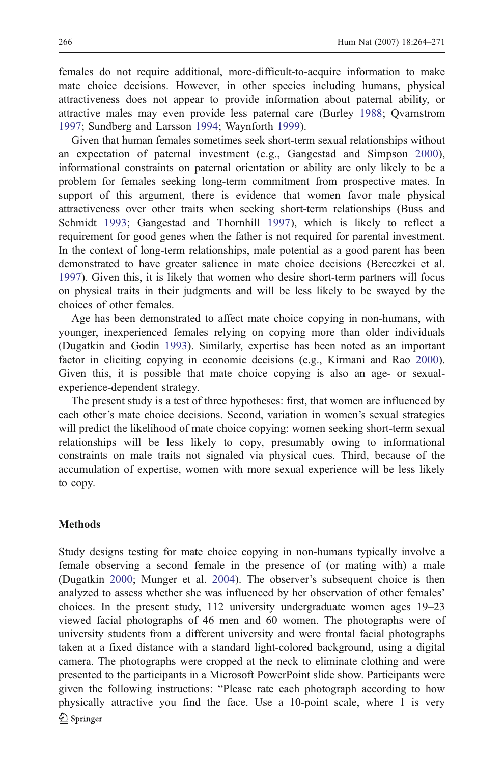females do not require additional, more-difficult-to-acquire information to make mate choice decisions. However, in other species including humans, physical attractiveness does not appear to provide information about paternal ability, or attractive males may even provide less paternal care (Burley [1988;](#page-6-0) Qvarnstrom [1997;](#page-7-0) Sundberg and Larsson [1994](#page-7-0); Waynforth [1999\)](#page-7-0).

Given that human females sometimes seek short-term sexual relationships without an expectation of paternal investment (e.g., Gangestad and Simpson [2000\)](#page-6-0), informational constraints on paternal orientation or ability are only likely to be a problem for females seeking long-term commitment from prospective mates. In support of this argument, there is evidence that women favor male physical attractiveness over other traits when seeking short-term relationships (Buss and Schmidt [1993;](#page-6-0) Gangestad and Thornhill [1997](#page-6-0)), which is likely to reflect a requirement for good genes when the father is not required for parental investment. In the context of long-term relationships, male potential as a good parent has been demonstrated to have greater salience in mate choice decisions (Bereczkei et al. [1997\)](#page-6-0). Given this, it is likely that women who desire short-term partners will focus on physical traits in their judgments and will be less likely to be swayed by the choices of other females.

Age has been demonstrated to affect mate choice copying in non-humans, with younger, inexperienced females relying on copying more than older individuals (Dugatkin and Godin [1993\)](#page-6-0). Similarly, expertise has been noted as an important factor in eliciting copying in economic decisions (e.g., Kirmani and Rao [2000\)](#page-6-0). Given this, it is possible that mate choice copying is also an age- or sexualexperience-dependent strategy.

The present study is a test of three hypotheses: first, that women are influenced by each other's mate choice decisions. Second, variation in women's sexual strategies will predict the likelihood of mate choice copying: women seeking short-term sexual relationships will be less likely to copy, presumably owing to informational constraints on male traits not signaled via physical cues. Third, because of the accumulation of expertise, women with more sexual experience will be less likely to copy.

#### Methods

Study designs testing for mate choice copying in non-humans typically involve a female observing a second female in the presence of (or mating with) a male (Dugatkin [2000;](#page-6-0) Munger et al. [2004](#page-7-0)). The observer's subsequent choice is then analyzed to assess whether she was influenced by her observation of other females' choices. In the present study, 112 university undergraduate women ages 19–23 viewed facial photographs of 46 men and 60 women. The photographs were of university students from a different university and were frontal facial photographs taken at a fixed distance with a standard light-colored background, using a digital camera. The photographs were cropped at the neck to eliminate clothing and were presented to the participants in a Microsoft PowerPoint slide show. Participants were given the following instructions: "Please rate each photograph according to how physically attractive you find the face. Use a 10-point scale, where 1 is very 2 Springer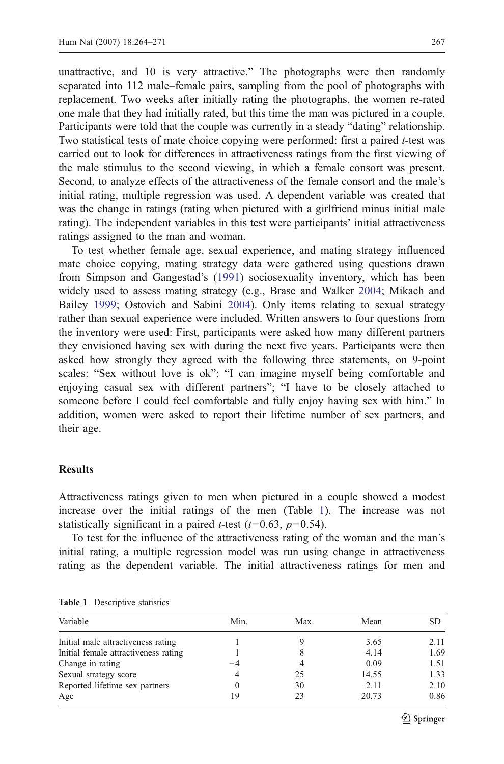unattractive, and 10 is very attractive." The photographs were then randomly separated into 112 male–female pairs, sampling from the pool of photographs with replacement. Two weeks after initially rating the photographs, the women re-rated one male that they had initially rated, but this time the man was pictured in a couple. Participants were told that the couple was currently in a steady "dating" relationship. Two statistical tests of mate choice copying were performed: first a paired *t*-test was carried out to look for differences in attractiveness ratings from the first viewing of the male stimulus to the second viewing, in which a female consort was present. Second, to analyze effects of the attractiveness of the female consort and the male's initial rating, multiple regression was used. A dependent variable was created that was the change in ratings (rating when pictured with a girlfriend minus initial male rating). The independent variables in this test were participants' initial attractiveness ratings assigned to the man and woman.

To test whether female age, sexual experience, and mating strategy influenced mate choice copying, mating strategy data were gathered using questions drawn from Simpson and Gangestad's [\(1991](#page-7-0)) sociosexuality inventory, which has been widely used to assess mating strategy (e.g., Brase and Walker [2004;](#page-6-0) Mikach and Bailey [1999;](#page-6-0) Ostovich and Sabini [2004\)](#page-7-0). Only items relating to sexual strategy rather than sexual experience were included. Written answers to four questions from the inventory were used: First, participants were asked how many different partners they envisioned having sex with during the next five years. Participants were then asked how strongly they agreed with the following three statements, on 9-point scales: "Sex without love is ok"; "I can imagine myself being comfortable and enjoying casual sex with different partners"; "I have to be closely attached to someone before I could feel comfortable and fully enjoy having sex with him." In addition, women were asked to report their lifetime number of sex partners, and their age.

## Results

Attractiveness ratings given to men when pictured in a couple showed a modest increase over the initial ratings of the men (Table 1). The increase was not statistically significant in a paired *t*-test ( $t=0.63$ ,  $p=0.54$ ).

To test for the influence of the attractiveness rating of the woman and the man's initial rating, a multiple regression model was run using change in attractiveness rating as the dependent variable. The initial attractiveness ratings for men and

| Variable                             | Min.             | Max. | Mean  | SD   |
|--------------------------------------|------------------|------|-------|------|
| Initial male attractiveness rating   |                  |      | 3.65  | 2.11 |
| Initial female attractiveness rating |                  |      | 4.14  | 1.69 |
| Change in rating                     | $-4$             |      | 0.09  | 1.51 |
| Sexual strategy score                | 4                | 25   | 14.55 | 1.33 |
| Reported lifetime sex partners       | $\left( \right)$ | 30   | 2.11  | 2.10 |
| Age                                  | 19               | 23   | 20.73 | 0.86 |

Table 1 Descriptive statistics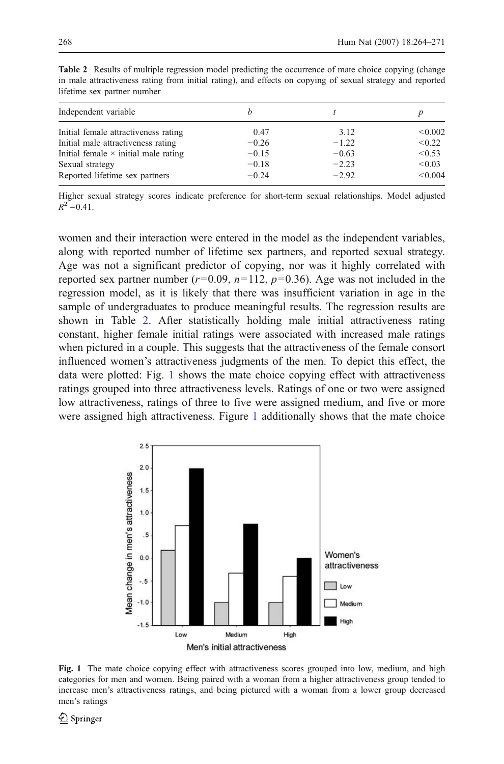|         | p       |  |  |  |  |
|---------|---------|--|--|--|--|
| 3.12    | < 0.002 |  |  |  |  |
| $-1.22$ | < 0.22  |  |  |  |  |
| $-0.63$ | < 0.53  |  |  |  |  |
| $-2.23$ | < 0.03  |  |  |  |  |
| $-2.92$ | < 0.004 |  |  |  |  |
|         |         |  |  |  |  |

<span id="page-4-0"></span>Table 2 Results of multiple regression model predicting the occurrence of mate choice copying (change in male attractiveness rating from initial rating), and effects on copying of sexual strategy and reported lifetime sex partner number

Higher sexual strategy scores indicate preference for short-term sexual relationships. Model adjusted  $R^2 = 0.41$ .

women and their interaction were entered in the model as the independent variables, along with reported number of lifetime sex partners, and reported sexual strategy. Age was not a significant predictor of copying, nor was it highly correlated with reported sex partner number  $(r=0.09, n=112, p=0.36)$ . Age was not included in the regression model, as it is likely that there was insufficient variation in age in the sample of undergraduates to produce meaningful results. The regression results are shown in Table 2. After statistically holding male initial attractiveness rating constant, higher female initial ratings were associated with increased male ratings when pictured in a couple. This suggests that the attractiveness of the female consort influenced women's attractiveness judgments of the men. To depict this effect, the data were plotted: Fig. 1 shows the mate choice copying effect with attractiveness ratings grouped into three attractiveness levels. Ratings of one or two were assigned low attractiveness, ratings of three to five were assigned medium, and five or more were assigned high attractiveness. Figure 1 additionally shows that the mate choice



Fig. 1 The mate choice copying effect with attractiveness scores grouped into low, medium, and high categories for men and women. Being paired with a woman from a higher attractiveness group tended to increase men's attractiveness ratings, and being pictured with a woman from a lower group decreased men's ratings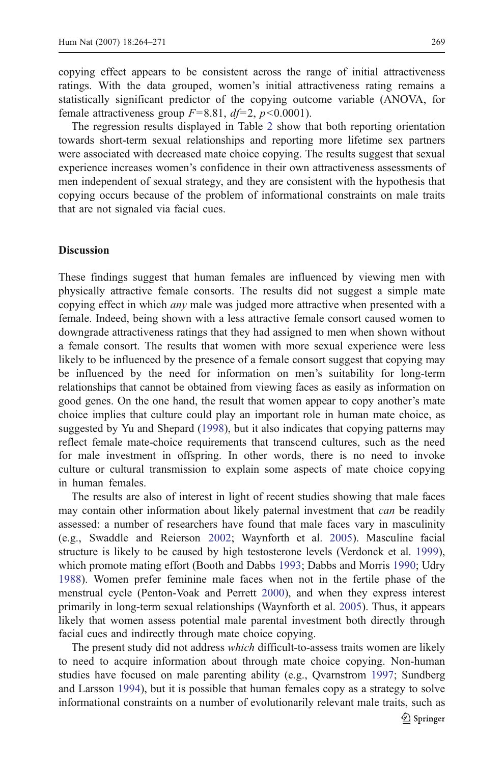copying effect appears to be consistent across the range of initial attractiveness ratings. With the data grouped, women's initial attractiveness rating remains a statistically significant predictor of the copying outcome variable (ANOVA, for female attractiveness group  $F=8.81$ ,  $df=2$ ,  $p<0.0001$ ).

The regression results displayed in Table [2](#page-4-0) show that both reporting orientation towards short-term sexual relationships and reporting more lifetime sex partners were associated with decreased mate choice copying. The results suggest that sexual experience increases women's confidence in their own attractiveness assessments of men independent of sexual strategy, and they are consistent with the hypothesis that copying occurs because of the problem of informational constraints on male traits that are not signaled via facial cues.

## Discussion

These findings suggest that human females are influenced by viewing men with physically attractive female consorts. The results did not suggest a simple mate copying effect in which *any* male was judged more attractive when presented with a female. Indeed, being shown with a less attractive female consort caused women to downgrade attractiveness ratings that they had assigned to men when shown without a female consort. The results that women with more sexual experience were less likely to be influenced by the presence of a female consort suggest that copying may be influenced by the need for information on men's suitability for long-term relationships that cannot be obtained from viewing faces as easily as information on good genes. On the one hand, the result that women appear to copy another's mate choice implies that culture could play an important role in human mate choice, as suggested by Yu and Shepard ([1998\)](#page-7-0), but it also indicates that copying patterns may reflect female mate-choice requirements that transcend cultures, such as the need for male investment in offspring. In other words, there is no need to invoke culture or cultural transmission to explain some aspects of mate choice copying in human females.

The results are also of interest in light of recent studies showing that male faces may contain other information about likely paternal investment that *can* be readily assessed: a number of researchers have found that male faces vary in masculinity (e.g., Swaddle and Reierson [2002;](#page-7-0) Waynforth et al. [2005\)](#page-7-0). Masculine facial structure is likely to be caused by high testosterone levels (Verdonck et al. [1999\)](#page-7-0), which promote mating effort (Booth and Dabbs [1993;](#page-6-0) Dabbs and Morris [1990;](#page-6-0) Udry [1988\)](#page-7-0). Women prefer feminine male faces when not in the fertile phase of the menstrual cycle (Penton-Voak and Perrett [2000](#page-7-0)), and when they express interest primarily in long-term sexual relationships (Waynforth et al. [2005\)](#page-7-0). Thus, it appears likely that women assess potential male parental investment both directly through facial cues and indirectly through mate choice copying.

The present study did not address which difficult-to-assess traits women are likely to need to acquire information about through mate choice copying. Non-human studies have focused on male parenting ability (e.g., Qvarnstrom [1997;](#page-7-0) Sundberg and Larsson [1994\)](#page-7-0), but it is possible that human females copy as a strategy to solve informational constraints on a number of evolutionarily relevant male traits, such as  $\textcircled{2}$  Springer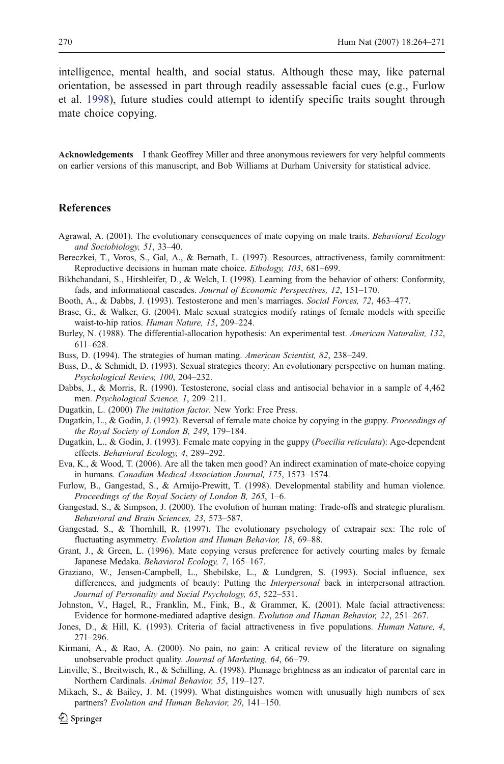<span id="page-6-0"></span>intelligence, mental health, and social status. Although these may, like paternal orientation, be assessed in part through readily assessable facial cues (e.g., Furlow et al. 1998), future studies could attempt to identify specific traits sought through mate choice copying.

Acknowledgements I thank Geoffrey Miller and three anonymous reviewers for very helpful comments on earlier versions of this manuscript, and Bob Williams at Durham University for statistical advice.

### **References**

- Agrawal, A. (2001). The evolutionary consequences of mate copying on male traits. Behavioral Ecology and Sociobiology, 51, 33–40.
- Bereczkei, T., Voros, S., Gal, A., & Bernath, L. (1997). Resources, attractiveness, family commitment: Reproductive decisions in human mate choice. Ethology, 103, 681–699.
- Bikhchandani, S., Hirshleifer, D., & Welch, I. (1998). Learning from the behavior of others: Conformity, fads, and informational cascades. Journal of Economic Perspectives, 12, 151–170.
- Booth, A., & Dabbs, J. (1993). Testosterone and men's marriages. Social Forces, 72, 463–477.
- Brase, G., & Walker, G. (2004). Male sexual strategies modify ratings of female models with specific waist-to-hip ratios. Human Nature, 15, 209–224.
- Burley, N. (1988). The differential-allocation hypothesis: An experimental test. American Naturalist, 132, 611–628.
- Buss, D. (1994). The strategies of human mating. American Scientist, 82, 238–249.
- Buss, D., & Schmidt, D. (1993). Sexual strategies theory: An evolutionary perspective on human mating. Psychological Review, 100, 204–232.
- Dabbs, J., & Morris, R. (1990). Testosterone, social class and antisocial behavior in a sample of 4,462 men. Psychological Science, 1, 209–211.
- Dugatkin, L. (2000) The imitation factor. New York: Free Press.
- Dugatkin, L., & Godin, J. (1992). Reversal of female mate choice by copying in the guppy. Proceedings of the Royal Society of London B, 249, 179–184.
- Dugatkin, L., & Godin, J. (1993). Female mate copying in the guppy (Poecilia reticulata): Age-dependent effects. Behavioral Ecology, 4, 289–292.
- Eva, K., & Wood, T. (2006). Are all the taken men good? An indirect examination of mate-choice copying in humans. Canadian Medical Association Journal, 175, 1573–1574.
- Furlow, B., Gangestad, S., & Armijo-Prewitt, T. (1998). Developmental stability and human violence. Proceedings of the Royal Society of London B, 265, 1–6.
- Gangestad, S., & Simpson, J. (2000). The evolution of human mating: Trade-offs and strategic pluralism. Behavioral and Brain Sciences, 23, 573–587.
- Gangestad, S., & Thornhill, R. (1997). The evolutionary psychology of extrapair sex: The role of fluctuating asymmetry. Evolution and Human Behavior, 18, 69–88.
- Grant, J., & Green, L. (1996). Mate copying versus preference for actively courting males by female Japanese Medaka. Behavioral Ecology, 7, 165–167.
- Graziano, W., Jensen-Campbell, L., Shebilske, L., & Lundgren, S. (1993). Social influence, sex differences, and judgments of beauty: Putting the *Interpersonal* back in interpersonal attraction. Journal of Personality and Social Psychology, 65, 522–531.
- Johnston, V., Hagel, R., Franklin, M., Fink, B., & Grammer, K. (2001). Male facial attractiveness: Evidence for hormone-mediated adaptive design. Evolution and Human Behavior, 22, 251–267.
- Jones, D., & Hill, K. (1993). Criteria of facial attractiveness in five populations. *Human Nature*, 4, 271–296.
- Kirmani, A., & Rao, A. (2000). No pain, no gain: A critical review of the literature on signaling unobservable product quality. Journal of Marketing, 64, 66–79.
- Linville, S., Breitwisch, R., & Schilling, A. (1998). Plumage brightness as an indicator of parental care in Northern Cardinals. Animal Behavior, 55, 119–127.
- Mikach, S., & Bailey, J. M. (1999). What distinguishes women with unusually high numbers of sex partners? Evolution and Human Behavior, 20, 141–150.